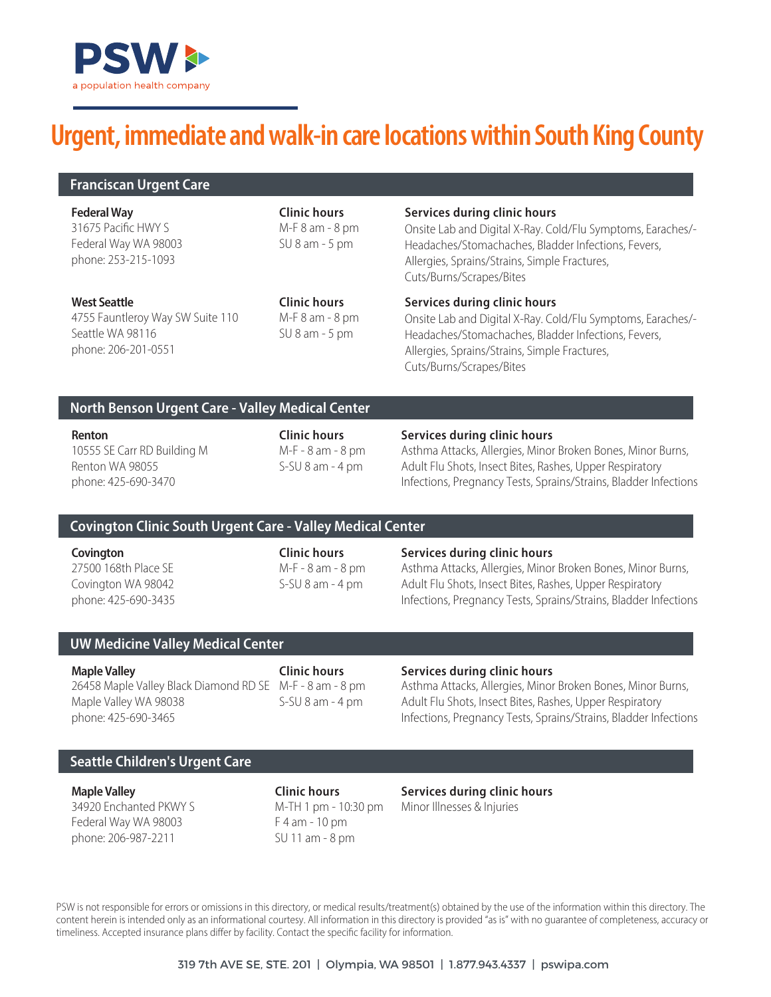

# **Urgent, immediate and walk-in care locations within South King County**

31675 Pacific HWY S Federal Way WA 98003 phone: 253-215-1093 **Federal Way**

**Clinic hours** M-F 8 am - 8 pm SU 8 am - 5 pm

### **Services during clinic hours**

Onsite Lab and Digital X-Ray. Cold/Flu Symptoms, Earaches/- Headaches/Stomachaches, Bladder Infections, Fevers, Allergies, Sprains/Strains, Simple Fractures, Cuts/Burns/Scrapes/Bites

4755 Fauntleroy Way SW Suite 110 Seattle WA 98116 phone: 206-201-0551 **West Seattle**

**Clinic hours** M-F 8 am - 8 pm SU 8 am - 5 pm

### **Services during clinic hours**

Onsite Lab and Digital X-Ray. Cold/Flu Symptoms, Earaches/- Headaches/Stomachaches, Bladder Infections, Fevers, Allergies, Sprains/Strains, Simple Fractures, Cuts/Burns/Scrapes/Bites

# **North Benson Urgent Care - Valley Medical Center**

10555 SE Carr RD Building M Renton WA 98055 phone: 425-690-3470

M-F - 8 am - 8 pm S-SU 8 am - 4 pm

### **Renton Clinic hours Services during clinic hours**

Asthma Attacks, Allergies, Minor Broken Bones, Minor Burns, Adult Flu Shots, Insect Bites, Rashes, Upper Respiratory Infections, Pregnancy Tests, Sprains/Strains, Bladder Infections

# **Covington Clinic South Urgent Care - Valley Medical Center**

27500 168th Place SE Covington WA 98042 phone: 425-690-3435 M-F - 8 am - 8 pm S-SU 8 am - 4 pm

#### **Covington Clinic hours Services during clinic hours**

Asthma Attacks, Allergies, Minor Broken Bones, Minor Burns, Adult Flu Shots, Insect Bites, Rashes, Upper Respiratory Infections, Pregnancy Tests, Sprains/Strains, Bladder Infections

# **UW Medicine Valley Medical Center**

26458 Maple Valley Black Diamond RD SE M-F - 8 am - 8 pm Maple Valley WA 98038 phone: 425-690-3465 **Maple Valley Clinic hours Services during clinic hours** 

S-SU 8 am - 4 pm

Asthma Attacks, Allergies, Minor Broken Bones, Minor Burns, Adult Flu Shots, Insect Bites, Rashes, Upper Respiratory Infections, Pregnancy Tests, Sprains/Strains, Bladder Infections

# **Seattle Children's Urgent Care**

34920 Enchanted PKWY S Federal Way WA 98003 phone: 206-987-2211

F 4 am - 10 pm SU 11 am - 8 pm

**Maple Valley Clinic hours Services during clinic hours**  M-TH 1 pm - 10:30 pm Minor Illnesses & Injuries

PSW is not responsible for errors or omissions in this directory, or medical results/treatment(s) obtained by the use of the information within this directory. The content herein is intended only as an informational courtesy. All information in this directory is provided "as is" with no guarantee of completeness, accuracy or timeliness. Accepted insurance plans differ by facility. Contact the specific facility for information.